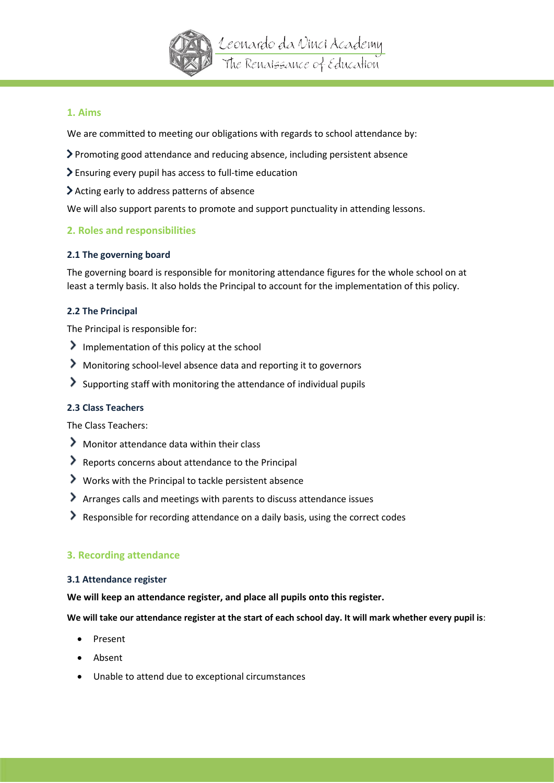

# **1. Aims**

We are committed to meeting our obligations with regards to school attendance by:

- Promoting good attendance and reducing absence, including persistent absence
- Ensuring every pupil has access to full-time education
- Acting early to address patterns of absence

We will also support parents to promote and support punctuality in attending lessons.

# **2. Roles and responsibilities**

## **2.1 The governing board**

The governing board is responsible for monitoring attendance figures for the whole school on at least a termly basis. It also holds the Principal to account for the implementation of this policy.

## **2.2 The Principal**

The Principal is responsible for:

- Implementation of this policy at the school
- Monitoring school-level absence data and reporting it to governors
- Supporting staff with monitoring the attendance of individual pupils

## **2.3 Class Teachers**

The Class Teachers:

- Monitor attendance data within their class
- Reports concerns about attendance to the Principal
- Works with the Principal to tackle persistent absence
- Arranges calls and meetings with parents to discuss attendance issues
- Responsible for recording attendance on a daily basis, using the correct codes

## **3. Recording attendance**

## **3.1 Attendance register**

**We will keep an attendance register, and place all pupils onto this register.**

**We will take our attendance register at the start of each school day. It will mark whether every pupil is**:

- Present
- Absent
- Unable to attend due to exceptional circumstances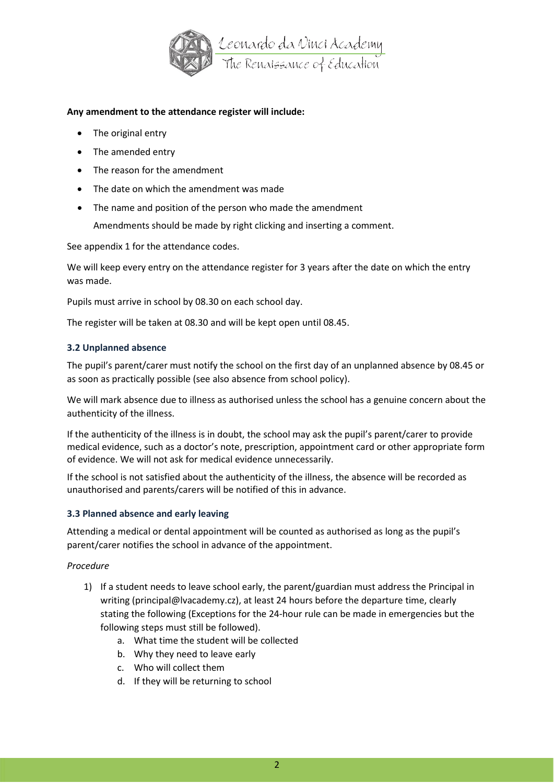

## **Any amendment to the attendance register will include:**

- The original entry
- The amended entry
- The reason for the amendment
- The date on which the amendment was made
- The name and position of the person who made the amendment

Amendments should be made by right clicking and inserting a comment.

See appendix 1 for the attendance codes.

We will keep every entry on the attendance register for 3 years after the date on which the entry was made.

Pupils must arrive in school by 08.30 on each school day.

The register will be taken at 08.30 and will be kept open until 08.45.

## **3.2 Unplanned absence**

The pupil's parent/carer must notify the school on the first day of an unplanned absence by 08.45 or as soon as practically possible (see also absence from school policy).

We will mark absence due to illness as authorised unless the school has a genuine concern about the authenticity of the illness.

If the authenticity of the illness is in doubt, the school may ask the pupil's parent/carer to provide medical evidence, such as a doctor's note, prescription, appointment card or other appropriate form of evidence. We will not ask for medical evidence unnecessarily.

If the school is not satisfied about the authenticity of the illness, the absence will be recorded as unauthorised and parents/carers will be notified of this in advance.

## **3.3 Planned absence and early leaving**

Attending a medical or dental appointment will be counted as authorised as long as the pupil's parent/carer notifies the school in advance of the appointment.

## *Procedure*

- 1) If a student needs to leave school early, the parent/guardian must address the Principal in writing (principal@lvacademy.cz), at least 24 hours before the departure time, clearly stating the following (Exceptions for the 24-hour rule can be made in emergencies but the following steps must still be followed).
	- a. What time the student will be collected
	- b. Why they need to leave early
	- c. Who will collect them
	- d. If they will be returning to school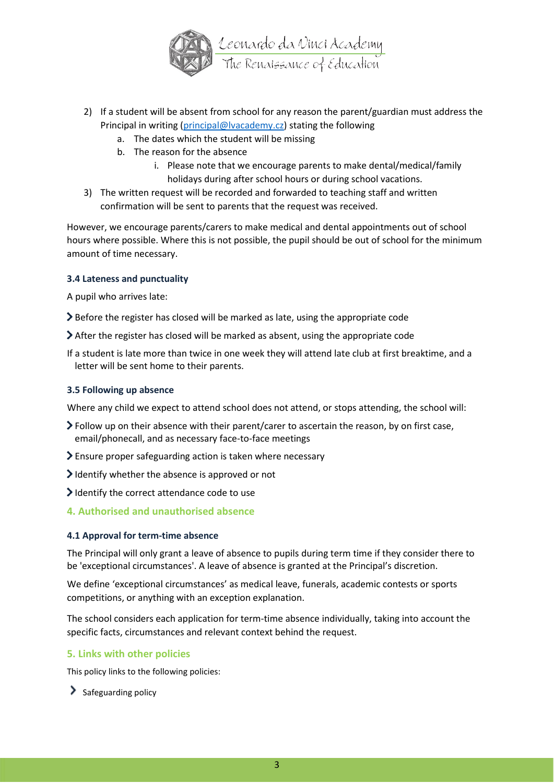

- 2) If a student will be absent from school for any reason the parent/guardian must address the Principal in writing [\(principal@lvacademy.cz\)](mailto:principal@lvacademy.cz) stating the following
	- a. The dates which the student will be missing
	- b. The reason for the absence
		- i. Please note that we encourage parents to make dental/medical/family holidays during after school hours or during school vacations.
- 3) The written request will be recorded and forwarded to teaching staff and written confirmation will be sent to parents that the request was received.

However, we encourage parents/carers to make medical and dental appointments out of school hours where possible. Where this is not possible, the pupil should be out of school for the minimum amount of time necessary.

#### **3.4 Lateness and punctuality**

A pupil who arrives late:

Before the register has closed will be marked as late, using the appropriate code

- After the register has closed will be marked as absent, using the appropriate code
- If a student is late more than twice in one week they will attend late club at first breaktime, and a letter will be sent home to their parents.

#### **3.5 Following up absence**

Where any child we expect to attend school does not attend, or stops attending, the school will:

- Follow up on their absence with their parent/carer to ascertain the reason, by on first case, email/phonecall, and as necessary face-to-face meetings
- Ensure proper safeguarding action is taken where necessary
- $\geq$  Identify whether the absence is approved or not
- I dentify the correct attendance code to use

## **4. Authorised and unauthorised absence**

#### **4.1 Approval for term-time absence**

The Principal will only grant a leave of absence to pupils during term time if they consider there to be 'exceptional circumstances'. A leave of absence is granted at the Principal's discretion.

We define 'exceptional circumstances' as medical leave, funerals, academic contests or sports competitions, or anything with an exception explanation.

The school considers each application for term-time absence individually, taking into account the specific facts, circumstances and relevant context behind the request.

#### **5. Links with other policies**

This policy links to the following policies:

 $\sum$  Safeguarding policy